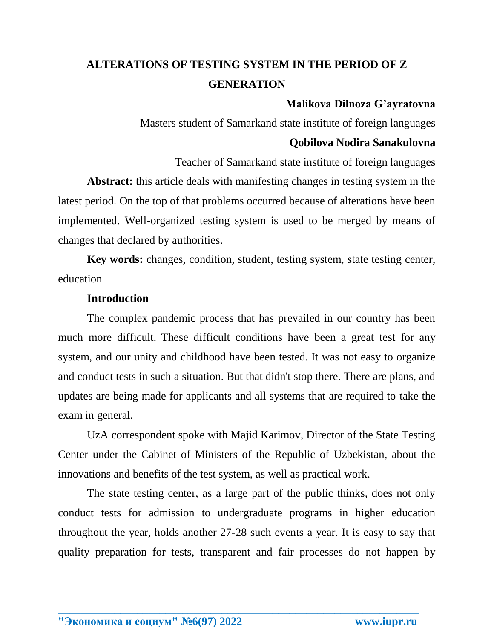# **ALTERATIONS OF TESTING SYSTEM IN THE PERIOD OF Z GENERATION**

## **Malikova Dilnoza G'ayratovna**

Masters student of Samarkand state institute of foreign languages

## **Qobilova Nodira Sanakulovna**

Teacher of Samarkand state institute of foreign languages **Abstract:** this article deals with manifesting changes in testing system in the latest period. On the top of that problems occurred because of alterations have been implemented. Well-organized testing system is used to be merged by means of changes that declared by authorities.

**Key words:** changes, condition, student, testing system, state testing center, education

#### **Introduction**

The complex pandemic process that has prevailed in our country has been much more difficult. These difficult conditions have been a great test for any system, and our unity and childhood have been tested. It was not easy to organize and conduct tests in such a situation. But that didn't stop there. There are plans, and updates are being made for applicants and all systems that are required to take the exam in general.

UzA correspondent spoke with Majid Karimov, Director of the State Testing Center under the Cabinet of Ministers of the Republic of Uzbekistan, about the innovations and benefits of the test system, as well as practical work.

The state testing center, as a large part of the public thinks, does not only conduct tests for admission to undergraduate programs in higher education throughout the year, holds another 27-28 such events a year. It is easy to say that quality preparation for tests, transparent and fair processes do not happen by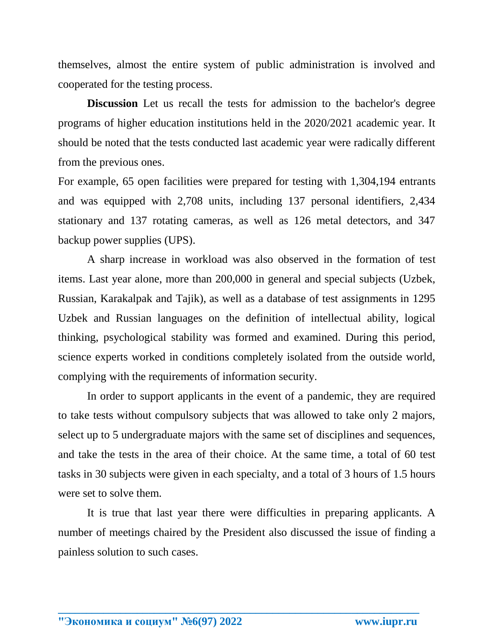themselves, almost the entire system of public administration is involved and cooperated for the testing process.

**Discussion** Let us recall the tests for admission to the bachelor's degree programs of higher education institutions held in the 2020/2021 academic year. It should be noted that the tests conducted last academic year were radically different from the previous ones.

For example, 65 open facilities were prepared for testing with 1,304,194 entrants and was equipped with 2,708 units, including 137 personal identifiers, 2,434 stationary and 137 rotating cameras, as well as 126 metal detectors, and 347 backup power supplies (UPS).

A sharp increase in workload was also observed in the formation of test items. Last year alone, more than 200,000 in general and special subjects (Uzbek, Russian, Karakalpak and Tajik), as well as a database of test assignments in 1295 Uzbek and Russian languages on the definition of intellectual ability, logical thinking, psychological stability was formed and examined. During this period, science experts worked in conditions completely isolated from the outside world, complying with the requirements of information security.

In order to support applicants in the event of a pandemic, they are required to take tests without compulsory subjects that was allowed to take only 2 majors, select up to 5 undergraduate majors with the same set of disciplines and sequences, and take the tests in the area of their choice. At the same time, a total of 60 test tasks in 30 subjects were given in each specialty, and a total of 3 hours of 1.5 hours were set to solve them.

It is true that last year there were difficulties in preparing applicants. A number of meetings chaired by the President also discussed the issue of finding a painless solution to such cases.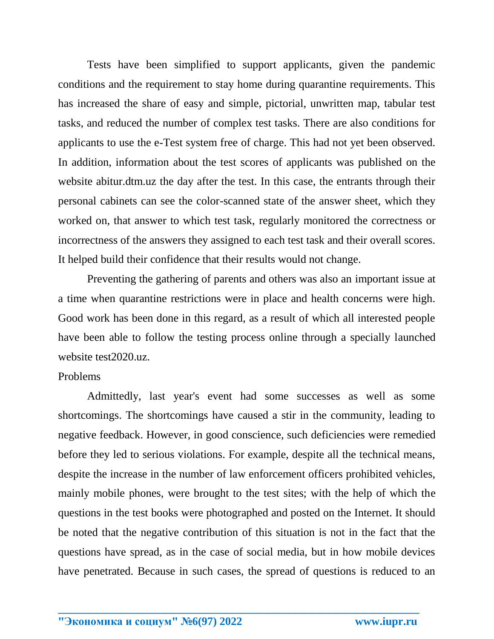Tests have been simplified to support applicants, given the pandemic conditions and the requirement to stay home during quarantine requirements. This has increased the share of easy and simple, pictorial, unwritten map, tabular test tasks, and reduced the number of complex test tasks. There are also conditions for applicants to use the e-Test system free of charge. This had not yet been observed. In addition, information about the test scores of applicants was published on the website abitur.dtm.uz the day after the test. In this case, the entrants through their personal cabinets can see the color-scanned state of the answer sheet, which they worked on, that answer to which test task, regularly monitored the correctness or incorrectness of the answers they assigned to each test task and their overall scores. It helped build their confidence that their results would not change.

Preventing the gathering of parents and others was also an important issue at a time when quarantine restrictions were in place and health concerns were high. Good work has been done in this regard, as a result of which all interested people have been able to follow the testing process online through a specially launched website test2020.uz.

#### Problems

Admittedly, last year's event had some successes as well as some shortcomings. The shortcomings have caused a stir in the community, leading to negative feedback. However, in good conscience, such deficiencies were remedied before they led to serious violations. For example, despite all the technical means, despite the increase in the number of law enforcement officers prohibited vehicles, mainly mobile phones, were brought to the test sites; with the help of which the questions in the test books were photographed and posted on the Internet. It should be noted that the negative contribution of this situation is not in the fact that the questions have spread, as in the case of social media, but in how mobile devices have penetrated. Because in such cases, the spread of questions is reduced to an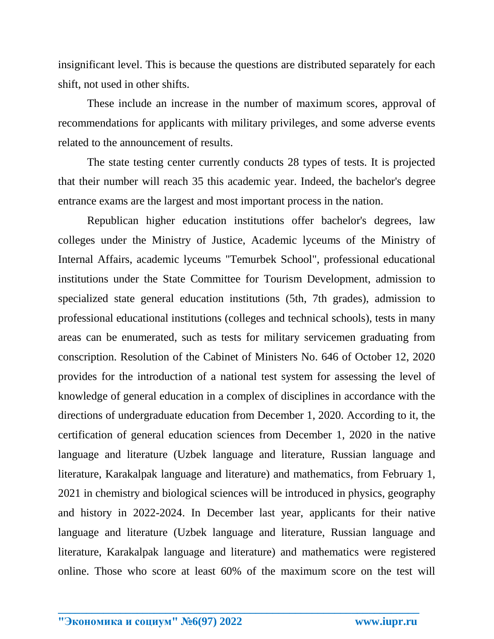insignificant level. This is because the questions are distributed separately for each shift, not used in other shifts.

These include an increase in the number of maximum scores, approval of recommendations for applicants with military privileges, and some adverse events related to the announcement of results.

The state testing center currently conducts 28 types of tests. It is projected that their number will reach 35 this academic year. Indeed, the bachelor's degree entrance exams are the largest and most important process in the nation.

Republican higher education institutions offer bachelor's degrees, law colleges under the Ministry of Justice, Academic lyceums of the Ministry of Internal Affairs, academic lyceums "Temurbek School", professional educational institutions under the State Committee for Tourism Development, admission to specialized state general education institutions (5th, 7th grades), admission to professional educational institutions (colleges and technical schools), tests in many areas can be enumerated, such as tests for military servicemen graduating from conscription. Resolution of the Cabinet of Ministers No. 646 of October 12, 2020 provides for the introduction of a national test system for assessing the level of knowledge of general education in a complex of disciplines in accordance with the directions of undergraduate education from December 1, 2020. According to it, the certification of general education sciences from December 1, 2020 in the native language and literature (Uzbek language and literature, Russian language and literature, Karakalpak language and literature) and mathematics, from February 1, 2021 in chemistry and biological sciences will be introduced in physics, geography and history in 2022-2024. In December last year, applicants for their native language and literature (Uzbek language and literature, Russian language and literature, Karakalpak language and literature) and mathematics were registered online. Those who score at least 60% of the maximum score on the test will